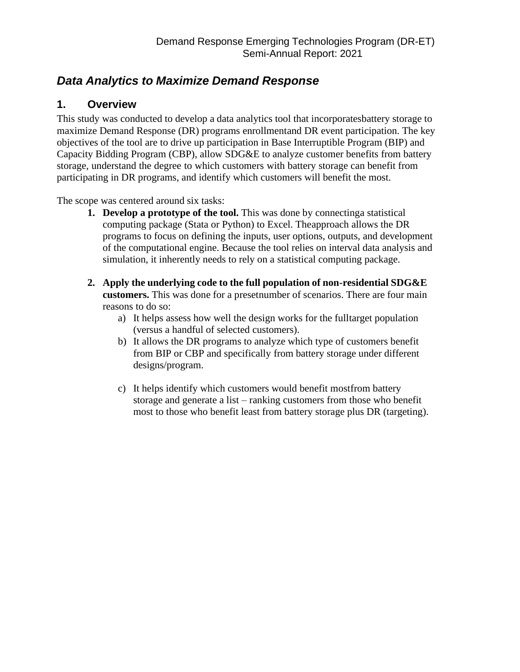# *Data Analytics to Maximize Demand Response*

# **1. Overview**

This study was conducted to develop a data analytics tool that incorporatesbattery storage to maximize Demand Response (DR) programs enrollmentand DR event participation. The key objectives of the tool are to drive up participation in Base Interruptible Program (BIP) and Capacity Bidding Program (CBP), allow SDG&E to analyze customer benefits from battery storage, understand the degree to which customers with battery storage can benefit from participating in DR programs, and identify which customers will benefit the most.

The scope was centered around six tasks:

- **1. Develop a prototype of the tool.** This was done by connectinga statistical computing package (Stata or Python) to Excel. Theapproach allows the DR programs to focus on defining the inputs, user options, outputs, and development of the computational engine. Because the tool relies on interval data analysis and simulation, it inherently needs to rely on a statistical computing package.
- **2. Apply the underlying code to the full population of non-residential SDG&E customers.** This was done for a presetnumber of scenarios. There are four main reasons to do so:
	- a) It helps assess how well the design works for the fulltarget population (versus a handful of selected customers).
	- b) It allows the DR programs to analyze which type of customers benefit from BIP or CBP and specifically from battery storage under different designs/program.
	- c) It helps identify which customers would benefit mostfrom battery storage and generate a list – ranking customers from those who benefit most to those who benefit least from battery storage plus DR (targeting).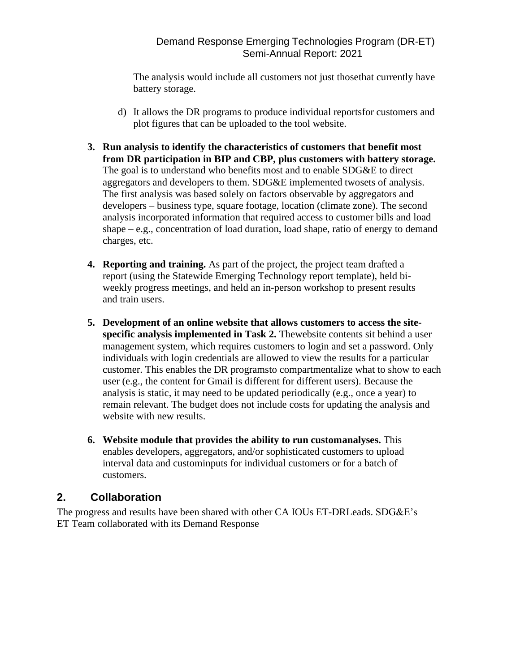### Demand Response Emerging Technologies Program (DR-ET) Semi-Annual Report: 2021

The analysis would include all customers not just thosethat currently have battery storage.

- d) It allows the DR programs to produce individual reportsfor customers and plot figures that can be uploaded to the tool website.
- **3. Run analysis to identify the characteristics of customers that benefit most from DR participation in BIP and CBP, plus customers with battery storage.** The goal is to understand who benefits most and to enable SDG&E to direct aggregators and developers to them. SDG&E implemented twosets of analysis. The first analysis was based solely on factors observable by aggregators and developers – business type, square footage, location (climate zone). The second analysis incorporated information that required access to customer bills and load shape – e.g., concentration of load duration, load shape, ratio of energy to demand charges, etc.
- **4. Reporting and training.** As part of the project, the project team drafted a report (using the Statewide Emerging Technology report template), held biweekly progress meetings, and held an in-person workshop to present results and train users.
- **5. Development of an online website that allows customers to access the sitespecific analysis implemented in Task 2.** Thewebsite contents sit behind a user management system, which requires customers to login and set a password. Only individuals with login credentials are allowed to view the results for a particular customer. This enables the DR programsto compartmentalize what to show to each user (e.g., the content for Gmail is different for different users). Because the analysis is static, it may need to be updated periodically (e.g., once a year) to remain relevant. The budget does not include costs for updating the analysis and website with new results.
- **6. Website module that provides the ability to run customanalyses.** This enables developers, aggregators, and/or sophisticated customers to upload interval data and custominputs for individual customers or for a batch of customers.

## **2. Collaboration**

The progress and results have been shared with other CA IOUs ET-DRLeads. SDG&E's ET Team collaborated with its Demand Response